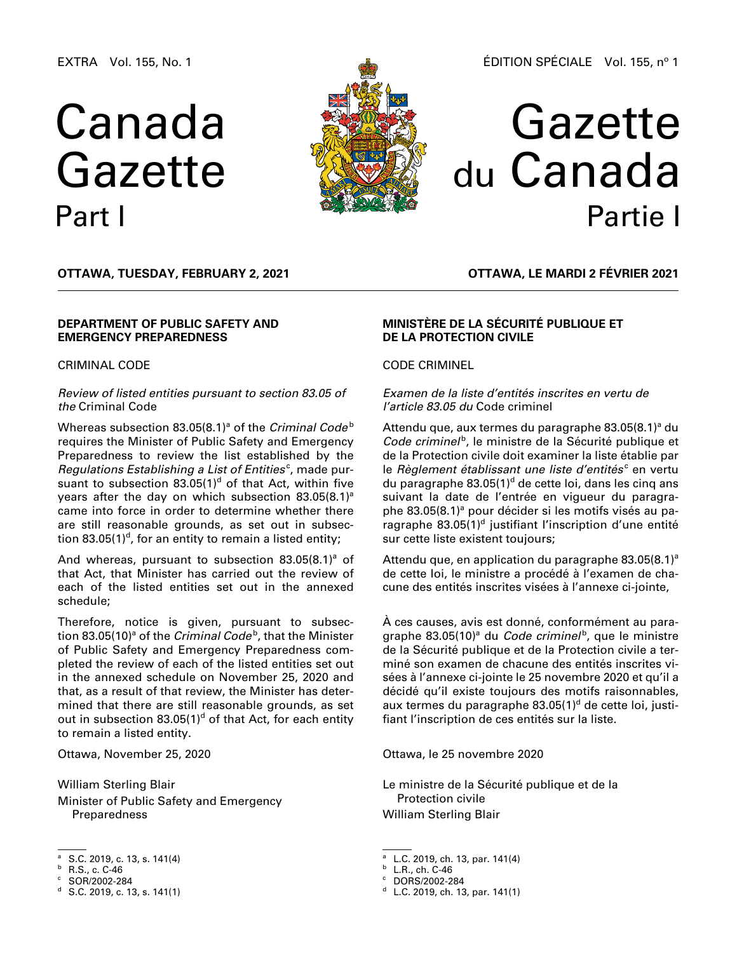EXTRA Vol. 155, No. 1

# Canada Gazette Part I



# Gazette du Canada Partie I

**OTTAWA, Tuesday, February 2, 2021**

**OTTAWA, LE mardi 2 février 2021**

#### **DEPARTMENT OF PUBLIC SAFETY AND EMERGENCY PREPAREDNESS**

CRIMINAL CODE

#### *Review of listed entities pursuant to section 83.05 of the* Criminal Code

Whereas subsection 83.05(8.1)ª of the *Criminal Code* <sup>b</sup> requires the Minister of Public Safety and Emergency Preparedness to review the list established by the Regulations Establishing a List of Entities<sup>c</sup>, made pursuant to subsection  $83.05(1)^d$  of that Act, within five years after the day on which subsection  $83.05(8.1)^a$ came into force in order to determine whether there are still reasonable grounds, as set out in subsection 83.05(1) $^{\rm d}$ , for an entity to remain a listed entity;

And whereas, pursuant to subsection 83.05(8.1)<sup>a</sup> of that Act, that Minister has carried out the review of each of the listed entities set out in the annexed schedule;

Therefore, notice is given, pursuant to subsection 83.05(10)<sup>a</sup> of the *Criminal Code<sup>b</sup>,* that the Minister of Public Safety and Emergency Preparedness completed the review of each of the listed entities set out in the annexed schedule on November 25, 2020 and that, as a result of that review, the Minister has determined that there are still reasonable grounds, as set out in subsection 83.05 $(1)^d$  of that Act, for each entity to remain a listed entity.

Ottawa, November 25, 2020

William Sterling Blair Minister of Public Safety and Emergency Preparedness

 $°$  SOR/2002-284

## **MINISTÈRE DE LA SÉCURITÉ PUBLIQUE ET DE LA PROTECTION CIVILE**

CODE CRIMINEL

*Examen de la liste d'entités inscrites en vertu de l'article 83.05 du* Code criminel

Attendu que, aux termes du paragraphe 83.05(8.1)<sup>a</sup> du Code criminel<sup>b</sup>, le ministre de la Sécurité publique et de la Protection civile doit examiner la liste établie par le Règlement établissant une liste d'entités<sup>c</sup> en vertu du paragraphe 83.05(1)<sup>d</sup> de cette loi, dans les cinq ans suivant la date de l'entrée en vigueur du paragraphe 83.05(8.1)<sup>a</sup> pour décider si les motifs visés au paragraphe 83.05(1)<sup>d</sup> justifiant l'inscription d'une entité sur cette liste existent toujours;

Attendu que, en application du paragraphe 83.05 $(8.1)^a$ de cette loi, le ministre a procédé à l'examen de chacune des entités inscrites visées à l'annexe ci-jointe,

À ces causes, avis est donné, conformément au paragraphe 83.05(10)<sup>a</sup> du *Code criminel*<sup>b</sup>, que le ministre de la Sécurité publique et de la Protection civile a terminé son examen de chacune des entités inscrites visées à l'annexe ci-jointe le 25 novembre 2020 et qu'il a décidé qu'il existe toujours des motifs raisonnables, aux termes du paragraphe 83.05(1)<sup>d</sup> de cette loi, justifiant l'inscription de ces entités sur la liste.

Ottawa, le 25 novembre 2020

Le ministre de la Sécurité publique et de la Protection civile William Sterling Blair

<sup>d</sup> L.C. 2019, ch. 13, par. 141(1)

S.C. 2019, c. 13, s. 141(4)

<sup>b</sup> R.S., c. C-46

<sup>d</sup> S.C. 2019, c. 13, s. 141(1)

L.C. 2019, ch. 13, par. 141(4)

 $b$  L.R., ch. C-46

<sup>c</sup> DORS/2002-284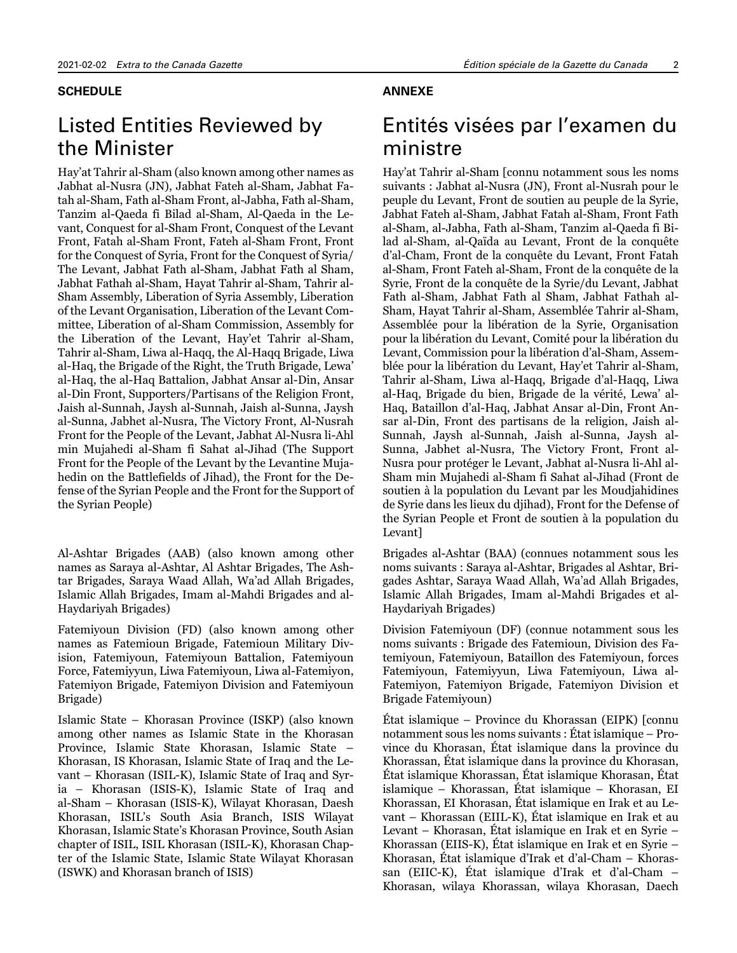### **SCHEDULE**

# Listed Entities Reviewed by the Minister

Hay'at Tahrir al-Sham (also known among other names as Jabhat al-Nusra (JN), Jabhat Fateh al-Sham, Jabhat Fatah al-Sham, Fath al-Sham Front, al-Jabha, Fath al-Sham, Tanzim al-Qaeda fi Bilad al-Sham, Al-Qaeda in the Levant, Conquest for al-Sham Front, Conquest of the Levant Front, Fatah al-Sham Front, Fateh al-Sham Front, Front for the Conquest of Syria, Front for the Conquest of Syria/ The Levant, Jabhat Fath al-Sham, Jabhat Fath al Sham, Jabhat Fathah al-Sham, Hayat Tahrir al-Sham, Tahrir al-Sham Assembly, Liberation of Syria Assembly, Liberation of the Levant Organisation, Liberation of the Levant Committee, Liberation of al-Sham Commission, Assembly for the Liberation of the Levant, Hay'et Tahrir al-Sham, Tahrir al-Sham, Liwa al-Haqq, the Al-Haqq Brigade, Liwa al-Haq, the Brigade of the Right, the Truth Brigade, Lewa' al-Haq, the al-Haq Battalion, Jabhat Ansar al-Din, Ansar al-Din Front, Supporters/Partisans of the Religion Front, Jaish al-Sunnah, Jaysh al-Sunnah, Jaish al-Sunna, Jaysh al-Sunna, Jabhet al-Nusra, The Victory Front, Al-Nusrah Front for the People of the Levant, Jabhat Al-Nusra li-Ahl min Mujahedi al-Sham fi Sahat al-Jihad (The Support Front for the People of the Levant by the Levantine Mujahedin on the Battlefields of Jihad), the Front for the Defense of the Syrian People and the Front for the Support of the Syrian People)

Al-Ashtar Brigades (AAB) (also known among other names as Saraya al-Ashtar, Al Ashtar Brigades, The Ashtar Brigades, Saraya Waad Allah, Wa'ad Allah Brigades, Islamic Allah Brigades, Imam al-Mahdi Brigades and al-Haydariyah Brigades)

Fatemiyoun Division (FD) (also known among other names as Fatemioun Brigade, Fatemioun Military Division, Fatemiyoun, Fatemiyoun Battalion, Fatemiyoun Force, Fatemiyyun, Liwa Fatemiyoun, Liwa al-Fatemiyon, Fatemiyon Brigade, Fatemiyon Division and Fatemiyoun Brigade)

Islamic State – Khorasan Province (ISKP) (also known among other names as Islamic State in the Khorasan Province, Islamic State Khorasan, Islamic State – Khorasan, IS Khorasan, Islamic State of Iraq and the Levant – Khorasan (ISIL-K), Islamic State of Iraq and Syria – Khorasan (ISIS-K), Islamic State of Iraq and al-Sham – Khorasan (ISIS-K), Wilayat Khorasan, Daesh Khorasan, ISIL's South Asia Branch, ISIS Wilayat Khorasan, Islamic State's Khorasan Province, South Asian chapter of ISIL, ISIL Khorasan (ISIL-K), Khorasan Chapter of the Islamic State, Islamic State Wilayat Khorasan (ISWK) and Khorasan branch of ISIS)

### **ANNEXE**

# Entités visées par l'examen du ministre

Hay'at Tahrir al-Sham [connu notamment sous les noms suivants : Jabhat al-Nusra (JN), Front al-Nusrah pour le peuple du Levant, Front de soutien au peuple de la Syrie, Jabhat Fateh al-Sham, Jabhat Fatah al-Sham, Front Fath al-Sham, al-Jabha, Fath al-Sham, Tanzim al-Qaeda fi Bilad al-Sham, al-Qaïda au Levant, Front de la conquête d'al-Cham, Front de la conquête du Levant, Front Fatah al-Sham, Front Fateh al-Sham, Front de la conquête de la Syrie, Front de la conquête de la Syrie/du Levant, Jabhat Fath al-Sham, Jabhat Fath al Sham, Jabhat Fathah al-Sham, Hayat Tahrir al-Sham, Assemblée Tahrir al-Sham, Assemblée pour la libération de la Syrie, Organisation pour la libération du Levant, Comité pour la libération du Levant, Commission pour la libération d'al-Sham, Assemblée pour la libération du Levant, Hay'et Tahrir al-Sham, Tahrir al-Sham, Liwa al-Haqq, Brigade d'al-Haqq, Liwa al-Haq, Brigade du bien, Brigade de la vérité, Lewa' al-Haq, Bataillon d'al-Haq, Jabhat Ansar al-Din, Front Ansar al-Din, Front des partisans de la religion, Jaish al-Sunnah, Jaysh al-Sunnah, Jaish al-Sunna, Jaysh al-Sunna, Jabhet al-Nusra, The Victory Front, Front al-Nusra pour protéger le Levant, Jabhat al-Nusra li-Ahl al-Sham min Mujahedi al-Sham fi Sahat al-Jihad (Front de soutien à la population du Levant par les Moudjahidines de Syrie dans les lieux du djihad), Front for the Defense of the Syrian People et Front de soutien à la population du Levant]

Brigades al-Ashtar (BAA) (connues notamment sous les noms suivants : Saraya al-Ashtar, Brigades al Ashtar, Brigades Ashtar, Saraya Waad Allah, Wa'ad Allah Brigades, Islamic Allah Brigades, Imam al-Mahdi Brigades et al-Haydariyah Brigades)

Division Fatemiyoun (DF) (connue notamment sous les noms suivants : Brigade des Fatemioun, Division des Fatemiyoun, Fatemiyoun, Bataillon des Fatemiyoun, forces Fatemiyoun, Fatemiyyun, Liwa Fatemiyoun, Liwa al-Fatemiyon, Fatemiyon Brigade, Fatemiyon Division et Brigade Fatemiyoun)

État islamique – Province du Khorassan (EIPK) [connu notamment sous les noms suivants : État islamique – Province du Khorasan, État islamique dans la province du Khorassan, État islamique dans la province du Khorasan, État islamique Khorassan, État islamique Khorasan, État islamique – Khorassan, État islamique – Khorasan, EI Khorassan, EI Khorasan, État islamique en Irak et au Levant – Khorassan (EIIL-K), État islamique en Irak et au Levant – Khorasan, État islamique en Irak et en Syrie – Khorassan (EIIS-K), État islamique en Irak et en Syrie – Khorasan, État islamique d'Irak et d'al-Cham – Khorassan (EIIC-K), État islamique d'Irak et d'al-Cham – Khorasan, wilaya Khorassan, wilaya Khorasan, Daech